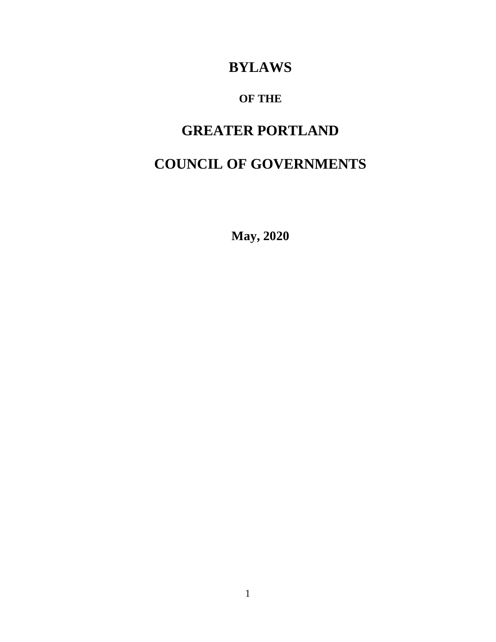## **BYLAWS**

## **OF THE**

## **GREATER PORTLAND**

# **COUNCIL OF GOVERNMENTS**

**May, 2020**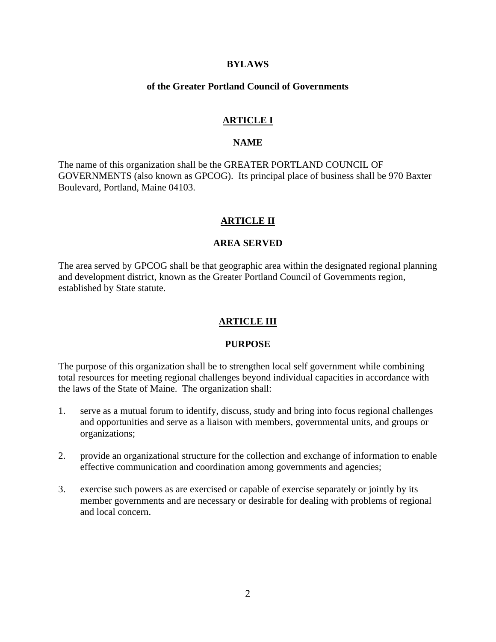#### **BYLAWS**

#### **of the Greater Portland Council of Governments**

#### **ARTICLE I**

#### **NAME**

The name of this organization shall be the GREATER PORTLAND COUNCIL OF GOVERNMENTS (also known as GPCOG). Its principal place of business shall be 970 Baxter Boulevard, Portland, Maine 04103.

#### **ARTICLE II**

#### **AREA SERVED**

The area served by GPCOG shall be that geographic area within the designated regional planning and development district, known as the Greater Portland Council of Governments region, established by State statute.

#### **ARTICLE III**

#### **PURPOSE**

The purpose of this organization shall be to strengthen local self government while combining total resources for meeting regional challenges beyond individual capacities in accordance with the laws of the State of Maine. The organization shall:

- 1. serve as a mutual forum to identify, discuss, study and bring into focus regional challenges and opportunities and serve as a liaison with members, governmental units, and groups or organizations;
- 2. provide an organizational structure for the collection and exchange of information to enable effective communication and coordination among governments and agencies;
- 3. exercise such powers as are exercised or capable of exercise separately or jointly by its member governments and are necessary or desirable for dealing with problems of regional and local concern.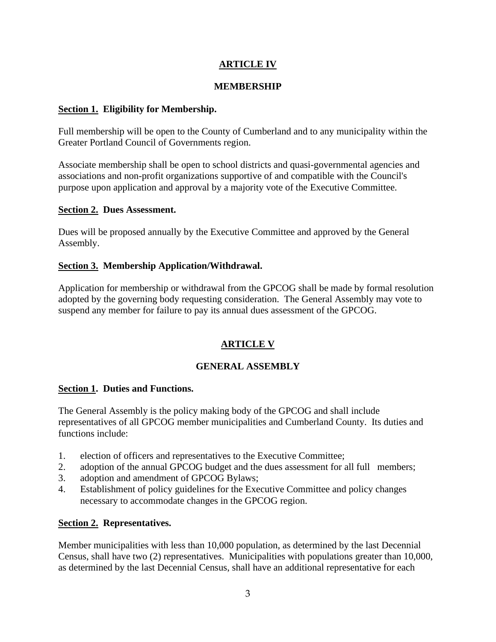## **ARTICLE IV**

### **MEMBERSHIP**

### **Section 1. Eligibility for Membership.**

Full membership will be open to the County of Cumberland and to any municipality within the Greater Portland Council of Governments region.

Associate membership shall be open to school districts and quasi-governmental agencies and associations and non-profit organizations supportive of and compatible with the Council's purpose upon application and approval by a majority vote of the Executive Committee.

#### **Section 2. Dues Assessment.**

Dues will be proposed annually by the Executive Committee and approved by the General Assembly.

#### **Section 3. Membership Application/Withdrawal.**

Application for membership or withdrawal from the GPCOG shall be made by formal resolution adopted by the governing body requesting consideration. The General Assembly may vote to suspend any member for failure to pay its annual dues assessment of the GPCOG.

## **ARTICLE V**

## **GENERAL ASSEMBLY**

#### **Section 1. Duties and Functions.**

The General Assembly is the policy making body of the GPCOG and shall include representatives of all GPCOG member municipalities and Cumberland County. Its duties and functions include:

- 1. election of officers and representatives to the Executive Committee;
- 2. adoption of the annual GPCOG budget and the dues assessment for all full members;
- 3. adoption and amendment of GPCOG Bylaws;
- 4. Establishment of policy guidelines for the Executive Committee and policy changes necessary to accommodate changes in the GPCOG region.

#### **Section 2. Representatives.**

Member municipalities with less than 10,000 population, as determined by the last Decennial Census, shall have two (2) representatives. Municipalities with populations greater than 10,000, as determined by the last Decennial Census, shall have an additional representative for each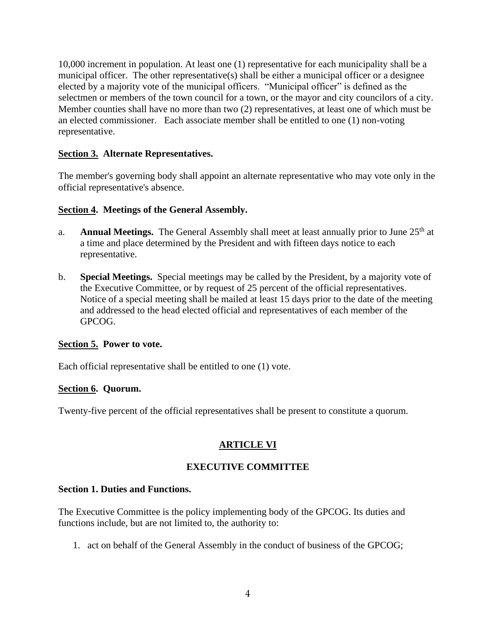10,000 increment in population. At least one (1) representative for each municipality shall be a municipal officer. The other representative(s) shall be either a municipal officer or a designee elected by a majority vote of the municipal officers. "Municipal officer" is defined as the selectmen or members of the town council for a town, or the mayor and city councilors of a city. Member counties shall have no more than two (2) representatives, at least one of which must be an elected commissioner. Each associate member shall be entitled to one (1) non-voting representative.

### **Section 3. Alternate Representatives.**

The member's governing body shall appoint an alternate representative who may vote only in the official representative's absence.

#### **Section 4. Meetings of the General Assembly.**

- a. **Annual Meetings.** The General Assembly shall meet at least annually prior to June 25<sup>th</sup> at a time and place determined by the President and with fifteen days notice to each representative.
- b. **Special Meetings.** Special meetings may be called by the President, by a majority vote of the Executive Committee, or by request of 25 percent of the official representatives. Notice of a special meeting shall be mailed at least 15 days prior to the date of the meeting and addressed to the head elected official and representatives of each member of the GPCOG.

#### **Section 5. Power to vote.**

Each official representative shall be entitled to one (1) vote.

#### **Section 6. Quorum.**

Twenty-five percent of the official representatives shall be present to constitute a quorum.

## **ARTICLE VI**

#### **EXECUTIVE COMMITTEE**

#### **Section 1. Duties and Functions.**

The Executive Committee is the policy implementing body of the GPCOG. Its duties and functions include, but are not limited to, the authority to:

1. act on behalf of the General Assembly in the conduct of business of the GPCOG;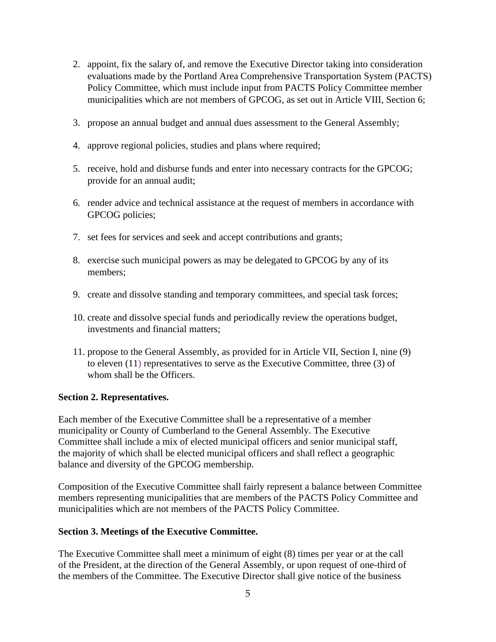- 2. appoint, fix the salary of, and remove the Executive Director taking into consideration evaluations made by the Portland Area Comprehensive Transportation System (PACTS) Policy Committee, which must include input from PACTS Policy Committee member municipalities which are not members of GPCOG, as set out in Article VIII, Section 6;
- 3. propose an annual budget and annual dues assessment to the General Assembly;
- 4. approve regional policies, studies and plans where required;
- 5. receive, hold and disburse funds and enter into necessary contracts for the GPCOG; provide for an annual audit;
- 6. render advice and technical assistance at the request of members in accordance with GPCOG policies;
- 7. set fees for services and seek and accept contributions and grants;
- 8. exercise such municipal powers as may be delegated to GPCOG by any of its members;
- 9. create and dissolve standing and temporary committees, and special task forces;
- 10. create and dissolve special funds and periodically review the operations budget, investments and financial matters;
- 11. propose to the General Assembly, as provided for in Article VII, Section I, nine (9) to eleven (11) representatives to serve as the Executive Committee, three (3) of whom shall be the Officers.

#### **Section 2. Representatives.**

Each member of the Executive Committee shall be a representative of a member municipality or County of Cumberland to the General Assembly. The Executive Committee shall include a mix of elected municipal officers and senior municipal staff, the majority of which shall be elected municipal officers and shall reflect a geographic balance and diversity of the GPCOG membership.

Composition of the Executive Committee shall fairly represent a balance between Committee members representing municipalities that are members of the PACTS Policy Committee and municipalities which are not members of the PACTS Policy Committee.

#### **Section 3. Meetings of the Executive Committee.**

The Executive Committee shall meet a minimum of eight (8) times per year or at the call of the President, at the direction of the General Assembly, or upon request of one-third of the members of the Committee. The Executive Director shall give notice of the business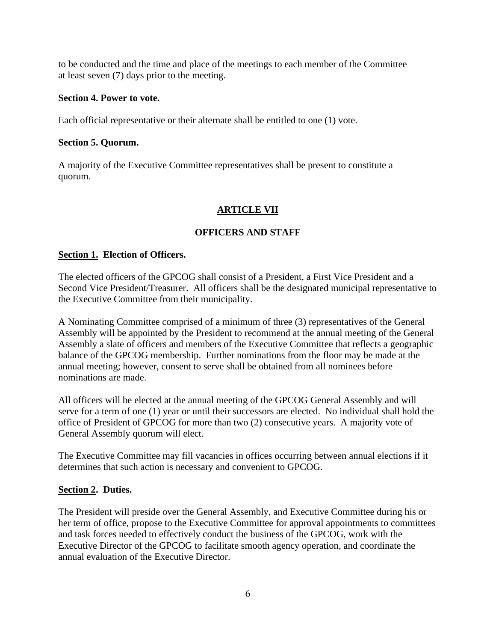to be conducted and the time and place of the meetings to each member of the Committee at least seven (7) days prior to the meeting.

#### **Section 4. Power to vote.**

Each official representative or their alternate shall be entitled to one (1) vote.

#### **Section 5. Quorum.**

A majority of the Executive Committee representatives shall be present to constitute a quorum.

## **ARTICLE VII**

#### **OFFICERS AND STAFF**

#### **Section 1. Election of Officers.**

The elected officers of the GPCOG shall consist of a President, a First Vice President and a Second Vice President/Treasurer. All officers shall be the designated municipal representative to the Executive Committee from their municipality.

A Nominating Committee comprised of a minimum of three (3) representatives of the General Assembly will be appointed by the President to recommend at the annual meeting of the General Assembly a slate of officers and members of the Executive Committee that reflects a geographic balance of the GPCOG membership. Further nominations from the floor may be made at the annual meeting; however, consent to serve shall be obtained from all nominees before nominations are made.

All officers will be elected at the annual meeting of the GPCOG General Assembly and will serve for a term of one (1) year or until their successors are elected. No individual shall hold the office of President of GPCOG for more than two (2) consecutive years. A majority vote of General Assembly quorum will elect.

The Executive Committee may fill vacancies in offices occurring between annual elections if it determines that such action is necessary and convenient to GPCOG.

#### **Section 2. Duties.**

The President will preside over the General Assembly, and Executive Committee during his or her term of office, propose to the Executive Committee for approval appointments to committees and task forces needed to effectively conduct the business of the GPCOG, work with the Executive Director of the GPCOG to facilitate smooth agency operation, and coordinate the annual evaluation of the Executive Director.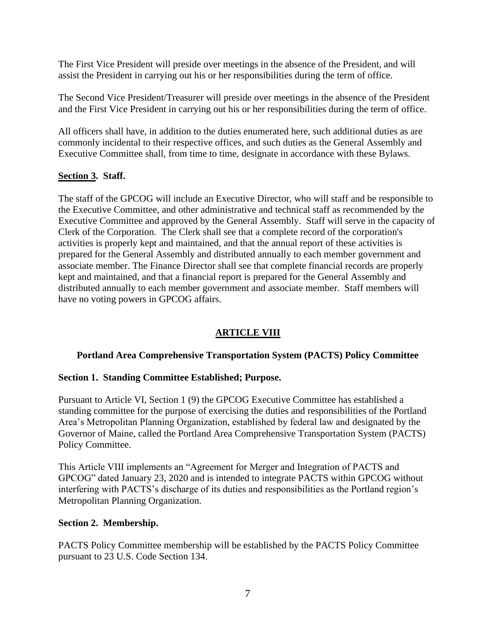The First Vice President will preside over meetings in the absence of the President, and will assist the President in carrying out his or her responsibilities during the term of office.

The Second Vice President/Treasurer will preside over meetings in the absence of the President and the First Vice President in carrying out his or her responsibilities during the term of office.

All officers shall have, in addition to the duties enumerated here, such additional duties as are commonly incidental to their respective offices, and such duties as the General Assembly and Executive Committee shall, from time to time, designate in accordance with these Bylaws.

#### **Section 3. Staff.**

The staff of the GPCOG will include an Executive Director, who will staff and be responsible to the Executive Committee, and other administrative and technical staff as recommended by the Executive Committee and approved by the General Assembly. Staff will serve in the capacity of Clerk of the Corporation. The Clerk shall see that a complete record of the corporation's activities is properly kept and maintained, and that the annual report of these activities is prepared for the General Assembly and distributed annually to each member government and associate member. The Finance Director shall see that complete financial records are properly kept and maintained, and that a financial report is prepared for the General Assembly and distributed annually to each member government and associate member. Staff members will have no voting powers in GPCOG affairs.

## **ARTICLE VIII**

#### **Portland Area Comprehensive Transportation System (PACTS) Policy Committee**

#### **Section 1. Standing Committee Established; Purpose.**

Pursuant to Article VI, Section 1 (9) the GPCOG Executive Committee has established a standing committee for the purpose of exercising the duties and responsibilities of the Portland Area's Metropolitan Planning Organization, established by federal law and designated by the Governor of Maine, called the Portland Area Comprehensive Transportation System (PACTS) Policy Committee.

This Article VIII implements an "Agreement for Merger and Integration of PACTS and GPCOG" dated January 23, 2020 and is intended to integrate PACTS within GPCOG without interfering with PACTS's discharge of its duties and responsibilities as the Portland region's Metropolitan Planning Organization.

#### **Section 2. Membership.**

PACTS Policy Committee membership will be established by the PACTS Policy Committee pursuant to 23 U.S. Code Section 134.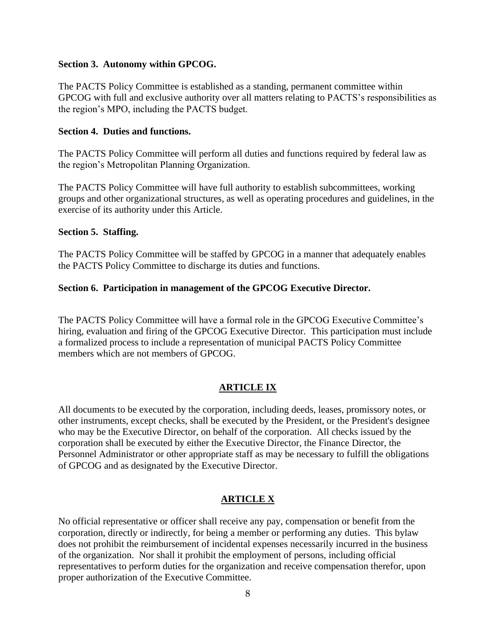#### **Section 3. Autonomy within GPCOG.**

The PACTS Policy Committee is established as a standing, permanent committee within GPCOG with full and exclusive authority over all matters relating to PACTS's responsibilities as the region's MPO, including the PACTS budget.

#### **Section 4. Duties and functions.**

The PACTS Policy Committee will perform all duties and functions required by federal law as the region's Metropolitan Planning Organization.

The PACTS Policy Committee will have full authority to establish subcommittees, working groups and other organizational structures, as well as operating procedures and guidelines, in the exercise of its authority under this Article.

#### **Section 5. Staffing.**

The PACTS Policy Committee will be staffed by GPCOG in a manner that adequately enables the PACTS Policy Committee to discharge its duties and functions.

#### **Section 6. Participation in management of the GPCOG Executive Director.**

The PACTS Policy Committee will have a formal role in the GPCOG Executive Committee's hiring, evaluation and firing of the GPCOG Executive Director. This participation must include a formalized process to include a representation of municipal PACTS Policy Committee members which are not members of GPCOG.

#### **ARTICLE IX**

All documents to be executed by the corporation, including deeds, leases, promissory notes, or other instruments, except checks, shall be executed by the President, or the President's designee who may be the Executive Director, on behalf of the corporation. All checks issued by the corporation shall be executed by either the Executive Director, the Finance Director, the Personnel Administrator or other appropriate staff as may be necessary to fulfill the obligations of GPCOG and as designated by the Executive Director.

## **ARTICLE X**

No official representative or officer shall receive any pay, compensation or benefit from the corporation, directly or indirectly, for being a member or performing any duties. This bylaw does not prohibit the reimbursement of incidental expenses necessarily incurred in the business of the organization. Nor shall it prohibit the employment of persons, including official representatives to perform duties for the organization and receive compensation therefor, upon proper authorization of the Executive Committee.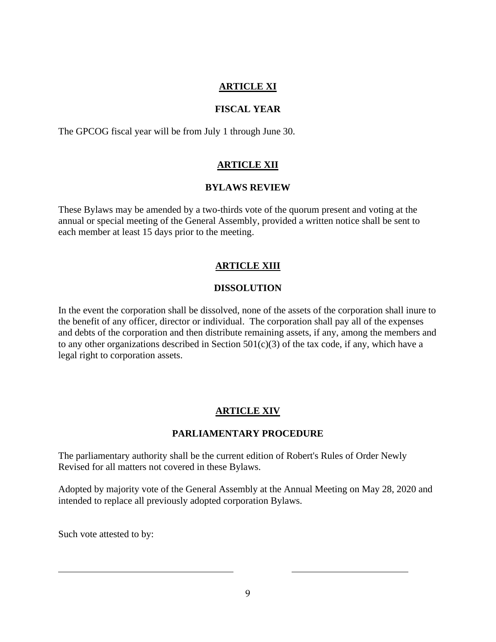## **ARTICLE XI**

#### **FISCAL YEAR**

The GPCOG fiscal year will be from July 1 through June 30.

## **ARTICLE XII**

#### **BYLAWS REVIEW**

These Bylaws may be amended by a two-thirds vote of the quorum present and voting at the annual or special meeting of the General Assembly, provided a written notice shall be sent to each member at least 15 days prior to the meeting.

## **ARTICLE XIII**

## **DISSOLUTION**

In the event the corporation shall be dissolved, none of the assets of the corporation shall inure to the benefit of any officer, director or individual. The corporation shall pay all of the expenses and debts of the corporation and then distribute remaining assets, if any, among the members and to any other organizations described in Section  $501(c)(3)$  of the tax code, if any, which have a legal right to corporation assets.

## **ARTICLE XIV**

## **PARLIAMENTARY PROCEDURE**

The parliamentary authority shall be the current edition of Robert's Rules of Order Newly Revised for all matters not covered in these Bylaws.

Adopted by majority vote of the General Assembly at the Annual Meeting on May 28, 2020 and intended to replace all previously adopted corporation Bylaws.

Such vote attested to by: